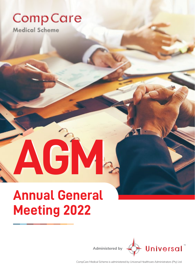# **CompCare**

Medical Scheme

# **Annual General Meeting 2022**

 $\triangle G$ M

**Administered by**



*CompCare Medical Scheme is administered by Universal Healthcare Administrators (Pty) Ltd.*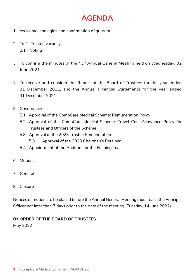

- 1. Welcome, apologies and confirmation of quorum
- 2. To fill Trustee vacancy
	- 2.1 Voting
- 3. To confirm the minutes of the  $43<sup>rd</sup>$  Annual General Meeting held on Wednesday, 02 June 2021
- 4. To receive and consider the Report of the Board of Trustees for the year ended 31 December 2021, and the Annual Financial Statements for the year ended 31 December 2021
- 5. Governance
	- 5.1 Approval of the CompCare Medical Scheme: Remuneration Policy
	- 5.2 Approval of the CompCare Medical Scheme: Travel Cost Allowance Policy for Trustees and Officers of the Scheme
	- 5.3 Approval of the 2023 Trustee Remuneration 5.3.1 Approval of the 2023 Chairman's Retainer
	- 5.4 Appointment of the Auditors for the Ensuing Year
- 6. Motions
- 7. General
- 8. Closure

Notices of motions to be placed before the Annual General Meeting must reach the Principal Officer not later than 7 days prior to the date of the meeting (Tuesday, 14 June 2022).

# **BY ORDER OF THE BOARD OF TRUSTEES**

May 2022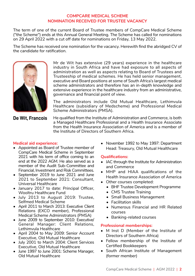# **COMPCARE MEDICAL SCHEME NOMINATION RECEIVED FOR TRUSTEE VACANCY**

The term of one of the current Board of Trustee members of CompCare Medical Scheme ("the Scheme") ends at this Annual General Meeting. The Scheme has called for nominations on 29 April 2022 with a cut off date for nominations on Friday, 13 May 2022.

The Scheme has received one nomination for the vacancy. Herewith find the abridged CV of the candidate for ratification.



Mr de Wit has extensive (29 years) experience in the healthcare industry in South Africa and have had exposure to all aspects of administration as well as aspects relating to Board of Trustees and Trusteeship of medical schemes. He has held senior management, executive and Board positions at some of South Africa's largest medical scheme administrators and therefore has an in-depth knowledge and extensive experience in the healthcare industry from an administrative, governance and financial point of view.

The administrators include Old Mutual Healthcare, Lethimvula Healthcare (subsidiary of Medscheme) and Professional Medical Scheme Administrators (PMSA).

**De Wit, Francois**

He qualified from the Institute of Administration and Commerce, is both a Managed Healthcare Professional and a Health Insurance Associate from the Health Insurance Association of America and is a member of the Institute of Directors of Southern Africa.

# **Medical aid experience:**

- Appointed as Board of Trustee member of CompCare Medical Scheme in September 2021 with his term of office coming to an end at the 2022 AGM. He also served as a member of the Audit Sub-Committee and Financial, Investment and Risk Committees.
- September 2019 to June 2021 and June 2021 to September 2021: Consultant, Universal Healthcare
- January 2017 to date: Principal Officer, Wooltru Healthcare Fund
- July 2013 to August 2019: Trustee, Selfmed Medical Scheme
- April 2011 to March 2013: Executive Client Relations (EXCO member), Professional Medical Scheme Administrators (PMSA)
- June 2009 to September 2010: Executive/ General Manager: Client Relations, Lethimvula Healthcare
- April 2004 to May 2009: Senior Account Executive, Old Mutual Healthcare
- July 2001 to March 2004: Client Services Executive, Old Mutual Healthcare
- June 1997 to June 2001: Scheme Manager, Old Mutual Healthcare

• November 1992 to May 1997: Department Head: Treasury, Old Mutual Healthcare

#### **Qualifications:**

- IAC through the Institute for Administration and Commerce
- MHP and HIAA qualifications of the Health Insurance Association of America
- Other courses completed:
	- BHF Trustee Development Programme
	- CMS Trustee Training
	- • Small Business Management
	- • Facilitation skills
	- • Numerous Financial and HR Related courses
	- • Banking-related courses

# **Professional memberships:**

- M Inst D (Member of the Institute of Directors of Southern Africa)
- Fellow membership of the Institute of Certified Bookkeepers
- South African Institute of Management (former member)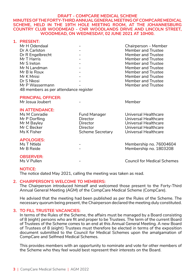#### **DRAFT - COMPCARE MEDICAL SCHEME MINUTES OF THE FORTY-THIRD ANNUAL GENERAL MEETING OF COMPCARE MEDICAL SCHEME, HELD IN THE 19TH HOLE MEETING ROOM, AT THE JOHANNESBURG COUNTRY CLUB WOODMEAD - CNR WOODLANDS DRIVE AND LINCOLN STREET, WOODMEAD, ON WEDNESDAY, 02 JUNE 2021 AT 10H00.**

| 1. | <b>PRESENT:</b>                       |                     |                           |
|----|---------------------------------------|---------------------|---------------------------|
|    | Mr H Odendaal                         |                     | Chairperson - Member      |
|    | Dr A Carlston                         |                     | Member and Trustee        |
|    | Dr R Engelbrecht                      |                     | Member and Trustee        |
|    | Mr T Harris                           |                     | <b>Member and Trustee</b> |
|    | Mr S Ireton                           |                     | Member and Trustee        |
|    | Mr N Landman                          |                     | Member and Trustee        |
|    | Mr B le Roux                          |                     | Member and Trustee        |
|    | Mr K Mnisi                            |                     | <b>Member and Trustee</b> |
|    | Dr S Nkosi                            |                     | Member and Trustee        |
|    | Mr P Wassermann                       |                     | Member and Trustee        |
|    | 48 members as per attendance register |                     |                           |
|    | <b>PRINCIPAL OFFICER:</b>             |                     |                           |
|    | Mr Josua Joubert                      |                     | Member                    |
|    | <b>IN ATTENDANCE:</b>                 |                     |                           |
|    | Ms M Conradie                         | <b>Fund Manager</b> | Universal Healthcare      |
|    | Mr P Dorfling                         | Director            | Universal Healthcare      |
|    | Mr M Bayley                           | Director            | Universal Healthcare      |
|    | Mr C Becker                           | Director            | Universal Healthcare      |

Mr C Becker **Burne Communist Communist C** Director **Mr C Becker Mr C Becker Mr C Becker C** Communist Communist Communist Communist Communist Communist Communist Communist Communist Communist Communist Communist Commu Scheme Secretary

**APOLOGIES:**

Ms T Ntlebi<br>
Ms T Ntlebi<br>
Membership no. 1803208<br>
Membership no. 1803208

**OBSERVER:**<br>Ms V Pullen

**NOTICE:**

 The notice dated May 2021, calling the meeting was taken as read.

#### **2. CHAIRPERSON'S WELCOME TO MEMBERS:**

The Chairperson introduced himself and welcomed those present to the Forty-Third Annual General Meeting (AGM) of the CompCare Medical Scheme (CompCare).

Membership no. 1803208

Council for Medical Schemes

He advised that the meeting had been published as per the Rules of the Scheme. The necessary quorum being present, the Chairperson declared the meeting duly constituted.

#### **3. TO FILL TRUSTEE VACANCIES:**

In terms of the Rules of the Scheme, the affairs must be managed by a Board consisting of 8 (eight) persons who are fit and proper to be Trustees. The term of the current Board of Trustees of the Scheme comes to an end at this Annual General Meeting. A new Board of Trustees of 8 (eight) Trustees must therefore be elected in terms of the exposition document submitted to the Council for Medical Schemes upon the amalgamation of CompCare and Selfmed Medical Schemes.

This provides members with an opportunity to nominate and vote for other members of the Scheme who they feel would best represent their interests on the Board.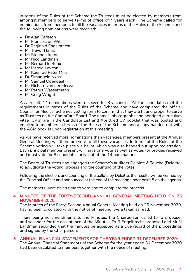In terms of the Rules of the Scheme the Trustees must be elected by members from amongst members to serve terms of office of 4 years each. The Scheme called for nominations from members to fill the vacancies in terms of the Rules of the Scheme and the following nominations were received:

- Dr Alan Carlston
- Mr Francois de Wit
- Dr Reginald Engelbrecht
- Mr Trevor Harris
- Mr Stephen Ireton
- Mr Nico Landman
- Mr Bernard le Roux
- Mr Harold Leviton
- Mr Koenrad Peter Mnisi
- Dr Simangele Nkosi
- Mr Samuel Odendaal
- Mr Richard van der Merwe
- Mr Petrus Wassermann
- Mr Craig Wright

As a result, 14 nominations were received for 8 vacancies. All the candidates met the requirements in terms of the Rules of the Scheme and have completed the official Council for Medical Schemes vetting form to confirm that they are fit and proper to serve as Trustees on the CompCare Board. The names, photographs and abridged curriculum vitae (CV's) are in the Candidate List and Abridged CV booklet that was posted and emailed to members in terms of the Rules of the Scheme and a copy handed out with the AGM booklet upon registration at this meeting.

As we have received more nominations than vacancies, members present at the Annual General Meeting will therefore vote to fill these vacancies. In terms of the Rules of the Scheme voting will take place via ballot which was also handed out upon registration. Each principal member present will have one vote as well as votes for proxies received and must vote for 8 candidates only, out of the 14 nominations.

The Board of Trustees had engaged the Scheme's auditors Deloitte & Touche (Deloitte) to adjudicate the voting process and the counting of the votes.

Following the election, and counting of the ballots by Deloitte, the results will be verified by the Principal Officer and announced at the end of the meeting under point 8 on the agenda.

The members were given time to vote and to complete the process.

#### **4. MINUTES OF THE FORTY-SECOND ANNUAL GENERAL MEETING HELD ON 25 NOVEMBER 2020:**

 The Minutes of the Forty-Second Annual General Meeting held on 25 November 2020, having been circulated with the notice of meeting, were taken as read.

There being no amendments to the Minutes, the Chairperson called for a proposer and seconder for the acceptance of the Minutes. Dr R Engelbrecht proposed and Mr N Landman seconded that the minutes be accepted as a true record of the proceedings and signed by the Chairperson.

#### **5. ANNUAL FINANCIAL STATEMENTS FOR THE YEAR ENDED 31 DECEMBER 2020:**

The Annual Financial Statements of the Scheme for the year ended 31 December 2020 had been circulated to members together with the notice of meeting.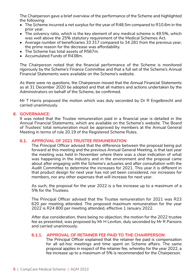The Chairperson gave a brief overview of the performance of the Scheme and highlighted the following:

- The Scheme incurred a net surplus for the year of R48.5m compared to R10.6m in the prior year.
- $\bullet$  The solvency ratio, which is the key element of any medical scheme is 49.5%, which was well above the 25% statutory requirement of the Medical Schemes Act.
- Average number of beneficiaries 33 317 compared to 34 281 from the previous year, the prime reason for the decrease was affordability.
- The Scheme has total assets of R567m.
- Accumulated Funds of R438m

The Chairperson noted that the financial performance of the Scheme is monitored rigorously by the Scheme's Finance Committee and that a full set of the Scheme's Annual Financial Statements were available on the Scheme's website.

As there were no questions, the Chairperson moved that the Annual Financial Statements as at 31 December 2020 be adopted and that all matters and actions undertaken by the Administrators on behalf of the Scheme, be confirmed.

Mr T Harris proposed the motion which was duly seconded by Dr R Engelbrecht and carried unanimously.

#### **6. GOVERNANCE:**

It was noted that the Trustee remuneration paid in a financial year is detailed in the Annual Financial Statements, which are available on the Scheme's website. The Board of Trustees' total remuneration must be approved by members at the Annual General Meeting in terms of rule 20.19 of the Registered Scheme Rules.

#### **6.1. APPROVAL OF 2021 TRUSTEE REMUNERATION**

The Principal Officer advised that the difference between the proposal being put forward at this meeting and the previous Annual General Meeting, is that last year the meeting was held in November where there was a clear indication of what was happening in the industry and in the environment and the proposal came about after engaging with the Scheme's actuaries and after consultation with the Audit Committee to determine the increases for 2021. This year it is different in that product design for next year has not yet been considered, nor increases for members, nor any other expenses that will increase for next year.

As such, the proposal for the year 2022 is a fee increase up to a maximum of a 5% for the Trustees.

The Principal Officer advised that the Trustee remuneration for 2021 was R23 620 per meeting attended. The proposed maximum remuneration for the year 2022 is R24 800 per meeting attended, effective 1 January 2022.

After due consideration, there being no objection, the motion for the 2022 trustee fee as presented, was proposed by Mr H Leviton, duly seconded by Mr R Parsons and carried unanimously.

#### **6.1.1. APPROVAL OF RETAINER FEE PAID TO THE CHAIRPERSON**

The Principal Officer explained that the retainer fee paid is compensation for all ad-hoc meetings and time spent on Scheme affairs. The same proposal applies in respect of the retainer fee, whereby for the year 2022, a fee increase up to a maximum of 5% is recommended for the Chairperson.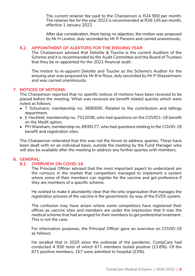The current retainer fee paid to the Chairperson is R24 900 per month. The retainer fee for the year 2022 is recommended at R26 145 per month, effective 1 January 2022.

After due consideration, there being no objection, the motion was proposed by Mr H Leviton, duly seconded by Mr R Parsons and carried unanimously.

# **6.2. APPOINTMENT OF AUDITORS FOR THE ENSUING YEAR**

The Chairperson advised that Deloitte & Touche is the current Auditors of the Scheme and it is recommended by the Audit Committee and the Board of Trustees that they be re-appointed for the 2021 financial audit.

The motion to re-appoint Deloitte and Touche as the Scheme's Auditor for the ensuing year was proposed by Mr B le Roux, duly seconded by Mr P Wassermann and was carried unanimously.

#### **7. NOTICES OF MOTIONS:**

 The Chairperson reported that no specific notices of motions have been received to be placed before the meeting. What was received are benefit related queries which were noted as follows:

- T Schumann, membership no. 3690095: Related to the contribution and billings department.
- • E Herzfeld, membership no. 7522038, who had questions on the COVID1-19 benefit on the MedX option.
- PH Wareham, membership no. 6939177, who had questions relating to the COVID-19 benefit and registration sites.

The Chairperson reiterated that this was not the forum to address queries. These have been dealt with on an individual basis, outside the meeting by the Fund Manager who will also be available after the meeting to address any further queries with members.

# **8. GENERAL:**

#### **8.1. OVERVIEW ON COVID-19**

The Principal Officer advised that the most important aspect to understand are the rumours in the market that competitors managed to implement a system where some of their members can register for the vaccine and get preference if they are members of a specific scheme.

He wished to make it abundantly clear that the only organisation that manages the registration process of the vaccine is the government, by way of the EVDS system.

The confusion may have arisen where some competitors have registered their offices as vaccine sites and members are under the impression that it was the medical scheme that had arranged for their members to get preferential treatment. This is not the case.

For information purposes, the Principal Officer gave an overview on COVID-19 as follows:

He recalled that in 2020 since the outbreak of the pandemic, CompCare had conducted 4 930 tests of which 671 members tested positive (13.6%). Of the 671 positive members, 157 were admitted to hospital (23%).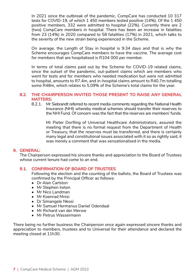In 2021 since the outbreak of the pandemic, CompCare has conducted 10 317 tests for COVID-19, of which 1 450 members tested positive (14%). Of the 1 450 positive members, 332 were admitted to hospital (22%). Currently there are 2 (two) CompCare members in hospital. There has been an increase in fatalities from 23 (14%) in 2020 compared to 58 fatalities (17%) in 2021, which talks to the severity of the new strain being experienced in the Scheme.

On average, the Length of Stay in hospital is 9.34 days and that is why the Scheme encourages CompCare members to have the vaccine. The average cost for members that are hospitalised is R104 000 per member.

In terms of total claims paid out by the Scheme for COVID-19 related claims, since the outset of the pandemic, out-patient claims which are members who went for tests and for members who needed medication but were not admitted to hospital, amounts to R7.4m, and in-hospital claims amount to R40.7m totalling some R48m, which relates to 5.09% of the Scheme's total claims for the year.

#### **8.2. THE CHAIRPERSON INVITED THOSE PRESENT TO RAISE ANY GENERAL MATTERS:**

8.2.1. Mr Siebrandt referred to recent media comments regarding the National Health Insurance (NHI) whereby medical schemes should transfer their reserves to the NHI Fund. Of concern was the fact that the reserves are members' funds.

Mr Pieter Dorfling of Universal Healthcare Administrators, assured the meeting that there is no formal request from the Department of Health or Treasury, that the reserves must be transferred, and there is certainly many legal and constitutional issues associated with it so as rightly said, it was merely a comment that was sensationalised in the media.

#### **9. GENERAL:**

 The Chairperson expressed his sincere thanks and appreciation to the Board of Trustees whose current tenure had come to an end.

#### **9.1. CONFIRMATION OF BOARD OF TRUSTEES**

Following the election and the counting of the ballots, the Board of Trustees was confirmed by the Principal Officer as follows:

- • Dr Alan Carlston
- Mr Stephen Ireton
- Mr Nico Landman
- Mr Koenrad Mnisi
- • Dr Simangele Nkosi
- • Mr Samuel Hermanus Daniel Odendaal
- • Mr Richard van der Merwe
- Mr Petrus Wassermann

There being no further business the Chairperson once again expressed sincere thanks and appreciation to members, trustees and to Universal for their attendance and declared the meeting closed at 11h30.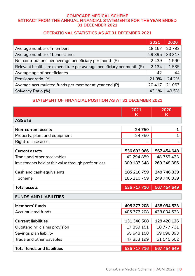#### **COMPCARE MEDICAL SCHEME EXTRACT FROM THE ANNUAL FINANCIAL STATEMENTS FOR THE YEAR ENDED 31 DECEMBER 2021**

# **OPERATIONAL STATISTICS AS AT 31 DECEMBER 2021**

|                                                                       | 2021    | 2020     |
|-----------------------------------------------------------------------|---------|----------|
| Average number of members                                             | 18 167  | 20 7 9 2 |
| Average number of beneficiaries                                       | 29 3 95 | 33 3 1 7 |
| Net contributions per average beneficiary per month (R)               | 2439    | 1990     |
| Relevant healthcare expenditure per average beneficiary per month (R) |         | 1535     |
| Average age of beneficiaries                                          | 42      | 44       |
| Pensioner ratio (%)                                                   | 21.9%   | 24.2%    |
| Average accumulated funds per member at year end (R)                  | 20417   | 21 067   |
| Solvency Ratio (%)                                                    | 43.1%   | 49.5%    |

# **STATEMENT OF FINANCIAL POSITION AS AT 31 DECEMBER 2021**

|               | $-$<br>− | $\sim$ $\sim$ $\sim$ |
|---------------|----------|----------------------|
| <b>ASSETS</b> |          |                      |

| Non-current assets                                    | 24 750      |             |
|-------------------------------------------------------|-------------|-------------|
| Property, plant and equipment                         | 24 750      |             |
| Right-of-use asset                                    |             |             |
|                                                       |             |             |
| <b>Current assets</b>                                 | 536 692 966 | 567 454 648 |
| Trade and other receivables                           | 42 294 859  | 48 359 423  |
| Investments held at fair value through profit or loss | 309 187 348 | 269 348 386 |
|                                                       |             |             |
| Cash and cash equivalents                             | 185 210 759 | 249 746 839 |
| Scheme                                                | 185 210 759 | 249 746 839 |
|                                                       |             |             |
| <b>Total assets</b>                                   | 536 717 716 | 567 454 649 |

#### **FUNDS AND LIABILITIES**

| Members' funds                     | 405 377 208 | 438 034 523 |
|------------------------------------|-------------|-------------|
| Accumulated funds                  | 405 377 208 | 438 034 523 |
| <b>Current liabilities</b>         | 131 340 508 | 129 420 126 |
|                                    | 17859151    | 18777731    |
| Outstanding claims provision       |             |             |
| Savings plan liability             | 65 648 158  | 59 096 893  |
| Trade and other payables           | 47 833 199  | 51 545 502  |
|                                    |             |             |
| <b>Total funds and liabilities</b> | 536 717 716 | 567 454 649 |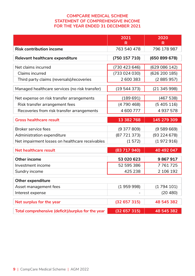# **COMPCARE MEDICAL SCHEME STATEMENT OF COMPREHENSIVE INCOME FOR THE YEAR ENDED 31 DECEMBER 2021**

|                                                    | 2021<br>R     | 2020<br>R     |  |
|----------------------------------------------------|---------------|---------------|--|
| <b>Risk contribution income</b>                    | 763 540 478   | 796 178 987   |  |
| Relevant healthcare expenditure                    | (750 157 710) | (650 899 678) |  |
| Net claims incurred                                | (730 423 646) | (629 086 142) |  |
| Claims incurred                                    | (733 024 030) | (626 200 185) |  |
| Third party claims (reversals)/recoveries          | 2 600 383     | (2885957)     |  |
| Managed healthcare services (no risk transfer)     | (19 544 373)  | (21 345 998)  |  |
| Net expense on risk transfer arrangements          | (189691)      | (467538)      |  |
| Risk transfer arrangement fees                     | (4790468)     | (5405116)     |  |
| Recoveries from risk transfer arrangements         | 4 600 777     | 4937578       |  |
| <b>Gross healthcare result</b>                     | 13 382 768    | 145 279 309   |  |
| Broker service fees                                | (9377809)     | (9589669)     |  |
| Administration expenditure                         | (87 721 373)  | (93 224 678)  |  |
| Net impairment losses on healthcare receivables    | (1572)        | (1972916)     |  |
| <b>Net healthcare result</b>                       | (83 717 940)  | 40 492 047    |  |
| Other income                                       | 53 020 623    | 9867917       |  |
| Investment income                                  | 52 595 386    | 7761725       |  |
| Sundry income                                      | 425 238       | 2 106 192     |  |
| Other expenditure                                  |               |               |  |
| Asset management fees                              | (1959998)     | (1794101)     |  |
| Interest expense                                   |               | (20 480)      |  |
| Net surplus for the year                           | (32657315)    | 48 545 382    |  |
| Total comprehensive (deficit)/surplus for the year | (32 657 315)  | 48 545 382    |  |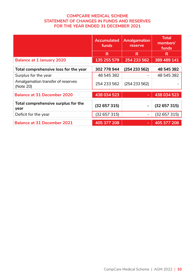# **COMPCARE MEDICAL SCHEME STATEMENT OF CHANGES IN FUNDS AND RESERVES FOR THE YEAR ENDED 31 DECEMBER 2021**

|                                                | <b>Accumulated</b><br>funds | <b>Amalgamation</b><br>reserve | <b>Total</b><br>members'<br>funds |
|------------------------------------------------|-----------------------------|--------------------------------|-----------------------------------|
|                                                | R                           | R                              | R                                 |
| <b>Balance at 1 January 2020</b>               | 135 255 579                 | 254 233 562                    | 389 489 141                       |
| Total comprehensive loss for the year          | 302 778 944                 | (254 233 562)                  | 48 545 382                        |
| Surplus for the year                           | 48 545 382                  |                                | 48 545 382                        |
| Amalgamation transfer of reserves<br>(Note 20) | 254 233 562                 | (254 233 562)                  |                                   |
| <b>Balance at 31 December 2020</b>             | 438 034 523                 |                                | 438 034 523                       |
| Total comprehensive surplus for the<br>year    | (32 657 315)                |                                | (32657315)                        |
| Deficit for the year                           | (32 657 315)                |                                | (32 657 315)                      |
| <b>Balance at 31 December 2021</b>             | 405 377 208                 |                                | 405 377 208                       |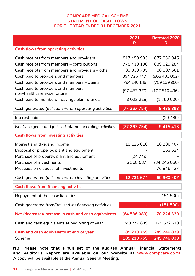# **COMPCARE MEDICAL SCHEME STATEMENT OF CASH FLOWS FOR THE YEAR ENDED 31 DECEMBER 2021**

|                                                                    | 2021<br>R     | <b>Restated 2020</b><br>R |  |
|--------------------------------------------------------------------|---------------|---------------------------|--|
| <b>Cash flows from operating activities</b>                        |               |                           |  |
| Cash receipts from members and providers                           | 817 458 993   | 877 836 945               |  |
| Cash receipts from members - contributions                         | 778 419 198   | 839 029 284               |  |
| Cash receipts from members and providers - other                   | 39 039 795    | 38 807 661                |  |
| Cash paid to providers and members                                 | (894 726 747) | (868 401 052)             |  |
| Cash paid to providers and members - claims                        | (794 246 149) | (759 139 950)             |  |
| Cash paid to providers and members -<br>non-healthcare expenditure | (97457370)    | (107 510 496)             |  |
| Cash paid to members - savings plan refunds                        | (3023228)     | (1750606)                 |  |
| Cash generated (utilised in)/from operating activities             | (77267754)    | 9 435 893                 |  |
| Interest paid                                                      |               | (20 480)                  |  |
| Net Cash generated (utilised in)/from operating activities         | (77267754)    | 9 4 1 5 4 1 3             |  |
| <b>Cash flows from investing activities</b>                        |               |                           |  |
| Interest and dividend income                                       | 18 125 010    | 18 206 407                |  |
| Disposal of property, plant and equipment                          |               | 153 624                   |  |
| Purchase of property, plant and equipment                          | (24749)       |                           |  |
| Purchase of investments                                            | (5368587)     | (34 245 050)              |  |
| Proceeds on disposal of investments                                |               | 76 845 427                |  |
| Cash generated (utilised in)/from investing activities             | 12 731 674    | 60 960 407                |  |
| <b>Cash flows from financing activities</b>                        |               |                           |  |
| Repayment of the lease liabilities                                 |               | (151 500)                 |  |
| Cash generated from/(utilised in) financing activities             |               | (151 500)                 |  |
| Net (decrease)/increase in cash and cash equivalents               | (64 536 080)  | 70 224 320                |  |
| Cash and cash equivalents at beginning of year                     | 249 746 839   | 179 522 519               |  |
| Cash and cash equivalents at end of year                           | 185 210 759   | 249 746 839               |  |
| Scheme                                                             | 185 210 759   | 249 746 839               |  |

**NB: Please note that a full set of the audited Annual Financial Statements and Auditor's Report are available on our website at www.compcare.co.za. A copy will be available at the Annual General Meeting.**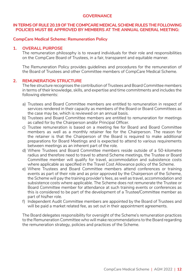#### **GOVERNANCE**

#### **IN TERMS OF RULE 20.19 OF THE COMPCARE MEDICAL SCHEME RULES THE FOLLOWING POLICIES MUST BE APPROVED BY MEMBERS AT THE ANNUAL GENERAL MEETING:**

#### **CompCare Medical Scheme: Remuneration Policy**

#### **1. OVERALL PURPOSE**

The remuneration philosophy is to reward individuals for their role and responsibilities on the CompCare Board of Trustees, in a fair, transparent and equitable manner.

The Remuneration Policy provides guidelines and procedures for the remuneration of the Board of Trustees and other Committee members of CompCare Medical Scheme.

#### **2. REMUNERATION STRUCTURE**

The fee structure recognises the contribution of Trustees and Board Committee members in terms of their knowledge, skills, and expertise and time commitments and includes the following elements:

- a) Trustees and Board Committee members are entitled to remuneration in respect of services rendered in their capacity as members of the Board or Board Committees as the case may be, which is reviewed on an annual basis.
- b) Trustees and Board Committee members are entitled to remuneration for meetings as called for by the Chairperson and/or Principal Officer.
- c) Trustee remuneration is based on a meeting fee for Board and Board Committee members as well as a monthly retainer fee for the Chairperson. The reason for the retainer is that the Chairperson of the Board is required to make additional preparations for Board Meetings and is expected to attend to various requirements between meetings as an inherent part of the role.
- d) Where Trustees and Board Committee members reside outside of a 50-kilometre radius and therefore need to travel to attend Scheme meetings, the Trustee or Board Committee member will qualify for travel, accommodation and subsistence costs where applicable as specified in the Travel Cost Allowance policy of the Scheme.
- e) Where Trustees and Board Committee members attend conferences or training events as part of their role and as prior approved by the Chairperson of the Scheme, the Scheme will pay the training provider's fees, as well as travel, accommodation and subsistence costs where applicable. The Scheme does not remunerate the Trustee or Board Committee member for attendance at such training events or conferences as this is considered to be part of the development of a Trustee/Committee member as part of his/her role.
- f) Independent Audit Committee members are appointed by the Board of Trustees and will be paid a market related fee, as set out in their appointment agreements.

The Board delegates responsibility for oversight of the Scheme's remuneration practices to the Remuneration Committee who will make recommendations to the Board regarding the remuneration strategy, policies and practices of the Scheme.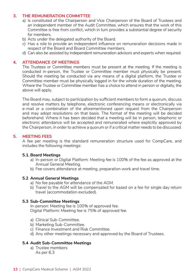# **3. THE REMUNERATION COMMITTEE**

- a) Is constituted of the Chairperson and Vice Chairperson of the Board of Trustees and an independent member of the Audit Committee, which ensures that the work of this Committee is free from conflict, which in turn provides a substantial degree of security for members.
- b) Acts under the delegated authority of the Board.
- c) Has a role to provide an independent influence on remuneration decisions made in respect of the Board and Board Committee members.
- d) Can also be assisted by independent remuneration advisors and experts when required.

#### **4. ATTENDANCE OF MEETINGS**

The Trustees or Committee members must be present at the meeting. If the meeting is conducted in-person, the Trustee or Committee member must physically be present. Should the meeting be conducted via any means of a digital platform, the Trustee or Committee member must be physically logged in for the whole duration of the meeting. Where the Trustee or Committee member has a choice to attend in person or digitally, the above will apply.

The Board may, subject to participation by sufficient members to form a quorum, discuss and resolve matters by telephone, electronic conferencing means or electronically via e-mail or a combination of the aforementioned upon request from the Chairperson and may adopt resolutions on that basis. The format of the meeting will be decided beforehand. Where it has been decided that a meeting will be in person, telephonic or electronic attendance will be accepted and remunerated where explicitly approved by the Chairperson, in order to achieve a quorum or if a critical matter needs to be discussed.

### **5. MEETING FEES**

A fee per meeting is the standard remuneration structure used for CompCare, and includes the following meetings:

#### **5.1. Board Meetings**

- a) In-person or Digital Platform: Meeting fee is 100% of the fee as approved at the Annual General Meeting.
- b) Fee covers attendance at meeting, preparation work and travel time.

#### **5.2 Annual General Meetings**

- a) No fee payable for attendance of the AGM.
- b) Travel to the AGM will be compensated for based on a fee for single day return travel (accommodation excluded).

#### **5.3 Sub-Committee Meetings**

In-person: Meeting fee is 100% of approved fee. Digital Platform: Meeting fee is 75% of approved fee.

- a) Clinical Sub-Committee.
- b) Marketing Sub-Committee.
- c) Finance Investment and Risk Committee.
- d) Any other meetings necessary and approved by the Board of Trustees.

#### **5.4 Audit Sub-Committee Meetings**

a) Trustee members As per 6.3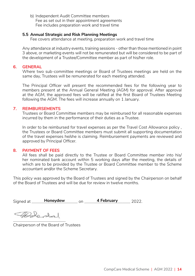b) Independent Audit Committee members Fee as set out in their appointment agreements Fee includes preparation work and travel time

#### **5.5 Annual Strategic and Risk Planning Meetings**

Fee covers attendance at meeting, preparation work and travel time

Any attendance at industry events, training sessions - other than those mentioned in point 3 above, or marketing events will not be remunerated but will be considered to be part of the development of a Trustee/Committee member as part of his/her role.

#### **6. GENERAL**

Where two sub-committee meetings or Board of Trustees meetings are held on the same day, Trustees will be remunerated for each meeting attended.

The Principal Officer will present the recommended fees for the following year to members present at the Annual General Meeting (AGM) for approval. After approval at the AGM, the approved fees will be ratified at the first Board of Trustees Meeting following the AGM. The fees will increase annually on 1 January.

#### **7. REIMBURSEMENTS**

Trustees or Board Committee members may be reimbursed for all reasonable expenses incurred by them in the performance of their duties as a Trustee.

In order to be reimbursed for travel expenses as per the Travel Cost Allowance policy , the Trustees or Board Committee members must submit all supporting documentation of the travel expenses he/she is claiming. Reimbursement payments are reviewed and approved by Principal Officer.

#### **8. PAYMENT OF FEES**

All fees shall be paid directly to the Trustee or Board Committee member into his/ her nominated bank account within 5 working days after the meeting, the details of which are to be provided by the Trustee or Board Committee member to the Scheme accountant and/or the Scheme Secretary.

This policy was approved by the Board of Trustees and signed by the Chairperson on behalf of the Board of Trustees and will be due for review in twelve months.

Signed at .................................................. on .................................................. 2022. **Honeydew 4 February**

Dolombal

......................................................... Chairperson of the Board of Trustees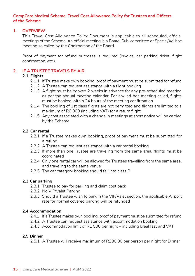#### **CompCare Medical Scheme: Travel Cost Allowance Policy for Trustees and Officers of the Scheme**

#### **1. OVERVIEW**

This Travel Cost Allowance Policy Document is applicable to all scheduled, official meetings of the Scheme. An official meeting is a Board, Sub-committee or Special/Ad-hoc meeting so called by the Chairperson of the Board.

Proof of payment for refund purposes is required (invoice, car parking ticket, flight confirmation, etc.).

## **2. IF A TRUSTEE TRAVELS BY AIR**

#### **2.1 Flights**

- 2.1.1 If Trustee make own booking, proof of payment must be submitted for refund
- 2.1.2 A Trustee can request assistance with a flight booking
- 2.1.3 A flight must be booked 2 weeks in advance for any pre-scheduled meeting as per the annual meeting calendar. For any ad-hoc meeting called, flights must be booked within 24 hours of the meeting confirmation
- 2.1.4 The booking of 1st class flights are not permitted and flights are limited to a maximum of R6 000 (including VAT) for a return flight
- 2.1.5 Any cost associated with a change in meetings at short notice will be carried by the Scheme

#### **2.2 Car rental**

- 2.2.1 If a Trustee makes own booking, proof of payment must be submitted for a refund
- 2.2.2 A Trustee can request assistance with a car rental booking
- 2.2.3 If more than one Trustee are traveling from the same area, flights must be coordinated
- 2.2.4 Only one rental car will be allowed for Trustees travelling from the same area, and traveling to the same venue
- 2.2.5 The car category booking should fall into class B

#### **2.3 Car parking**

- 2.3.1 Trustee to pay for parking and claim cost back
- 2.3.2 No VIP/Valet Parking
- 2.3.3 Should a Trustee wish to park in the VIP/Valet section, the applicable Airport rate for normal covered parking will be refunded

#### **2.4 Accommodation**

- 2.4.1 If a Trustee makes own booking, proof of payment must be submitted for refund
- 2.4.2 A Trustee can request assistance with accommodation booking
- 2.4.3 Accommodation limit of R1 500 per night including breakfast and VAT

#### **2.5 Dinner**

2.5.1 A Trustee will receive maximum of R280.00 per person per night for Dinner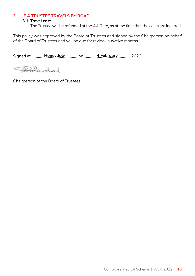# **3. IF A TRUSTEE TRAVELS BY ROAD**

# **3.1 Travel cost**

The Trustee will be refunded at the AA Rate, as at the time that the costs are incurred.

This policy was approved by the Board of Trustees and signed by the Chairperson on behalf of the Board of Trustees and will be due for review in twelve months.

Signed at .................................................. on .................................................. 2022. **Honeydew 4 February**

Polendad

......................................................... Chairperson of the Board of Trustees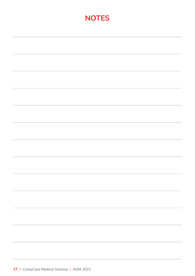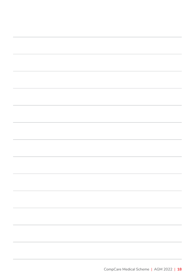CompCare Medical Scheme | AGM 2022 | **18**